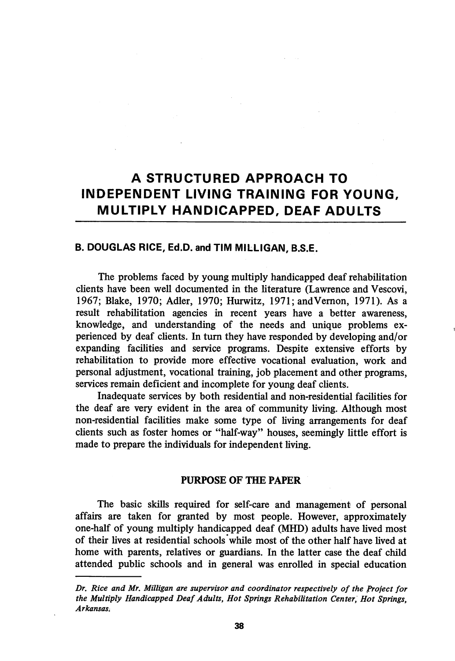# A STRUCTURED APPROACH TO INDEPENDENT LIVING TRAINING FOR YOUNG, MULTIPLY HANDICAPPED, DEAF ADULTS

## B. DOUGLAS RICE, Ed.D. and TIM MILLIGAN, B.S.E.

The problems faced by young multiply handicapped deaf rehabilitation clients have been well documented in the literature (Lawrence and Vescovi, 1967; Blake, 1970; Adler, 1970; Hurwitz, 1971; andVemon, 1971). As a result rehabilitation agencies in recent years have a better awareness, knowledge, and understanding of the needs and unique problems ex perienced by deaf clients. In turn they have responded by developing and/or expanding facilities and service programs. Despite extensive efforts by rehabilitation to provide more effective vocational evaluation, work and personal adjustment, vocational training, job placement and other programs, services remain deficient and incomplete for young deaf clients.

Inadequate services by both residential and non-residential facilities for the deaf are very evident in the area of community living. Although most non-residential facilities make some type of living arrangements for deaf clients such as foster homes or "half-way" houses, seemingly little effort is made to prepare the individuals for independent living.

### PURPOSE OF THE PAPER

The basic skills required for self-care and management of personal affairs are taken for granted by most people. However, approximately one-half of young multiply handicapped deaf (MHD) adults have lived most of their lives at residential schools while most of the other half have lived at home with parents, relatives or guardians. In the latter case the deaf child attended public schools and in general was enrolled in special education

Dr. Rice and Mr. Milligan are supervisor and coordinator respectively of the Project for the Multiply Handicapped Deaf Adults, Hot Springs Rehabilitation Center, Hot Springs, Arkansas.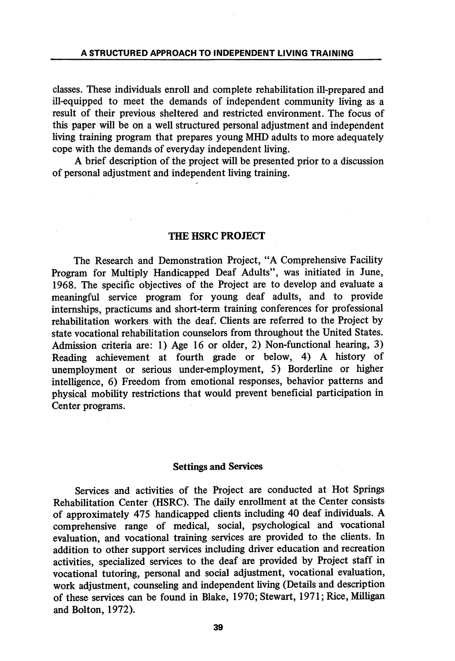classes. These individuals enroll and complete rehabilitation ill-prepared and ill-equipped to meet the demands of independent community living as a result of their previous sheltered and restricted environment. The focus of this paper will be on a well structured personal adjustment and independent living training program that prepares young MHD adults to more adequately cope with the demands of everyday independent living.

A brief description of the project will be presented prior to a discussion of personal adjustment and independent living training.

#### THE HSRC PROJECT

The Research and Demonstration Project, "A Comprehensive Facihty Program for Multiply Handicapped Deaf Adults", was initiated in June, 1968. The specific objectives of the Project are to develop and evaluate a meaningful service program for young deaf adults, and to provide internships, practicums and short-term training conferences for professional rehabilitation workers with the deaf. Clients are referred to the Project by state vocational rehabilitation counselors from throughout the United States. Admission criteria are: 1) Age 16 or older, 2) Non-functional hearing, 3) Reading achievement at fourth grade or below, 4) A history of unemployment or serious under-employment, 5) Borderline or higher intelligence, 6) Freedom from emotional responses, behavior patterns and physical mobility restrictions that would prevent beneficial participation in Center programs.

#### Settings and Services

Services and activities of the Project are conducted at Hot Springs Rehabilitation Center (HSRC). The daily enrollment at the Center consists of approximately 475 handicapped clients including 40 deaf individuals. A comprehensive range of medical, social, psychological and vocational evaluation, and vocational training services are provided to the clients. In addition to other support services including driver education and recreation activities, specialized services to the deaf are provided by Project staff in vocational tutoring, personal and social adjustment, vocational evaluation, work adjustment, counseling and independent living (Details and description of these services can be found in Blake, 1970; Stewart, 1971; Rice, Milligan and Bolton, 1972).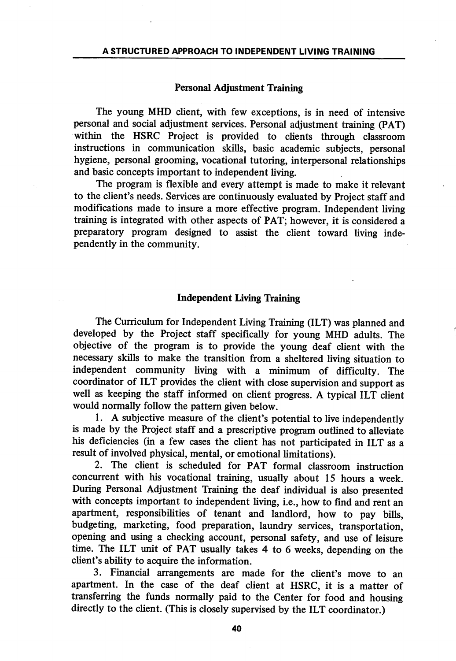#### Personal Adjustment Training

The young MHD client, with few exceptions, is in need of intensive personal and social adjustment services. Personal adjustment training (PAT) within the HSRC Project is provided to clients through classroom instructions in communication skills, basic academic subjects, personal hygiene, personal grooming, vocational tutoring, interpersonal relationships and basic concepts important to independent living.

The program is flexible and every attempt is made to make it relevant to the client's needs. Services are continuously evaluated by Project staff and modifications made to insure a more effective program. Independent living training is integrated with other aspects of PAT; however, it is considered a preparatory program designed to assist the client toward living independently in the community.

#### Independent Living Training

The Curriculum for Independent Living Training (ILT) was planned and developed by the Project staff specifically for young MHD adults. The objective of the program is to provide the young deaf client with the necessary skills to make the transition from a sheltered hving situation to independent community hving with a minimum of difficulty. The coordinator of ILT provides the client with close supervision and support as well as keeping the staff informed on client progress. A typical ILT client would normally follow the pattern given below.

1. A subjective measure of the client's potential to live independently is made by the Project staff and a prescriptive program outlined to alleviate his deficiencies (in a few cases the client has not participated in ILT as a result of involved physical, mental, or emotional limitations).

2. The client is scheduled for PAT formal classroom instruction concurrent with his vocational training, usually about 15 hours a week. During Personal Adjustment Training the deaf individual is also presented with concepts important to independent living, i.e., how to find and rent an apartment, responsibihties of tenant and landlord, how to pay bills, budgeting, marketing, food preparation, laundry services, transportation, opening and using a checking account, personal safety, and use of leisure time. The ILT unit of PAT usually takes 4 to 6 weeks, depending on the client's ability to acquire the information.

3. Financial arrangements are made for the client's move to an apartment. In the case of the deaf client at HSRC, it is a matter of transferring the funds normally paid to the Center for food and housing directly to the client. (This is closely supervised by the ILT coordinator.)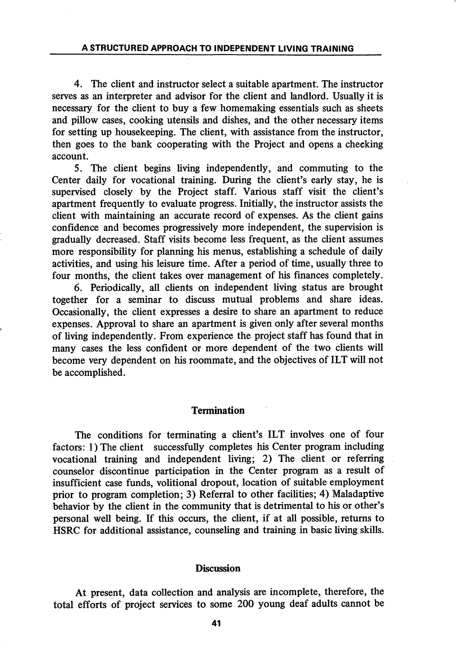4. The client and instructor select a suitable apartment. The instructor serves as an interpreter and advisor for the client and landlord. Usually it is necessary for the client to buy a few homemaking essentials such as sheets and pillow cases, cooking utensils and dishes, and the other necessary items for setting up housekeeping. The client, with assistance from the instructor, then goes to the bank cooperating with the Project and opens a cheeking account.

5. The client begins living independently, and commuting to the Center daily for vocational training. During the client's early stay, he is supervised closely by the Project staff. Various staff visit the client's apartment frequently to evaluate progress. Initially, the instructor assists the client with maintaining an accurate record of expenses. As the client gains confidence and becomes progressively more independent, the supervision is gradually decreased. Staff visits become less frequent, as the client assumes more responsibility for planning his menus, establishing a schedule of daily activities, and using his leisure time. After a period of time, usually three to four months, the client takes over management of his finances completely.

6. Periodically, all clients on independent living status are brought together for a seminar to discuss mutual problems and share ideas. Occasionally, the client expresses a desire to share an apartment to reduce expenses. Approval to share an apartment is given only after several months of living independently. From experience the project staff has found that in many cases the less confident or more dependent of the two clients will become very dependent on his roommate, and the objectives of ILT will not be accomplished.

#### Termination

The conditions for terminating a client's ILT involves one of four factors: 1) The client successfully completes his Center program including vocational training and independent living; 2) The client or referring counselor discontinue participation in the Center program as a result of insufficient case funds, volitional dropout, location of suitable employment prior to program completion; 3) Referral to other facilities; 4) Maladaptive behavior by the client in the community that is detrimental to his or other's personal well being. If this occurs, the client, if at all possible, returns to HSRC for additional assistance, counseling and training in basic living skills.

#### **Discussion**

At present, data collection and analysis are incomplete, therefore, the total efforts of project services to some 200 young deaf adults cannot be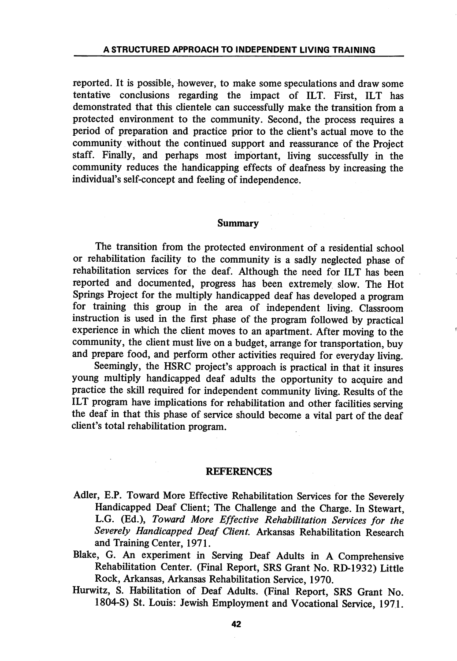reported. It is possible, however, to make some speculations and draw some tentative conclusions regarding the impact of ILT. First, ILT has demonstrated that this clientele can successfully make the transition from a protected environment to the community. Second, the process requires a period of preparation and practice prior to the client's actual move to the commimity without the continued support and reassurance of the Project staff. Finally, and perhaps most important, living successfully in the community reduces the handicapping effects of deafness by increasing the individual's self-concept and feeling of independence.

#### Summary

The transition from the protected environment of a residential school or rehabilitation facility to the community is a sadly neglected phase of rehabilitation services for the deaf. Although the need for ILT has been reported and documented, progress has been extremely slow. The Hot Springs Project for the multiply handicapped deaf has developed a program for training this group in the area of independent living. Classroom instruction is used in the first phase of the program followed by practical experience in which the client moves to an apartment. After moving to the community, the client must live on a budget, arrange for transportation, buy and prepare food, and perform other activities required for everyday living.

Seemingly, the HSRC project's approach is practical in that it insures young multiply handicapped deaf adults the opportunity to acquire and practice the skill required for independent community living. Results of the ILT program have implications for rehabilitation and other facilities serving the deaf in that this phase of service should become a vital part of the deaf client's total rehabilitation program.

#### REFERENCES

- Adler, E.P. Toward More Effective Rehabilitation Services for the Severely Handicapped Deaf Client; The Challenge and the Charge. In Stewart, L.G. (Ed.), Toward More Effective Rehabilitation Services for the Severely Handicapped Deaf Client. Arkansas Rehabilitation Research and Training Center, 1971.
- Blake, G. An experiment in Serving Deaf Adults in A Comprehensive Rehabilitation Center. (Final Report, SRS Grant No. RD-1932) Little Rock, Arkansas, Arkansas Rehabilitation Service, 1970.
- Hurwitz, S. Habilitation of Deaf Adults. (Final Report, SRS Grant No. 1804-S) St. Louis: Jewish Employment and Vocational Service, 1971.